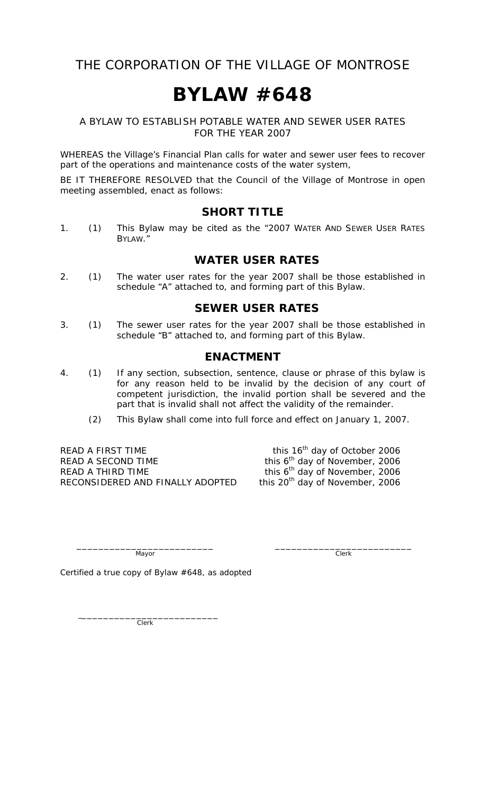## THE CORPORATION OF THE VILLAGE OF MONTROSE

# **BYLAW #648**

#### A BYLAW TO ESTABLISH POTABLE WATER AND SEWER USER RATES FOR THE YEAR 2007

WHEREAS the Village's Financial Plan calls for water and sewer user fees to recover part of the operations and maintenance costs of the water system,

BE IT THEREFORE RESOLVED that the Council of the Village of Montrose in open meeting assembled, enact as follows:

#### **SHORT TITLE**

1. (1) This Bylaw may be cited as the "2007 WATER AND SEWER USER RATES BYLAW."

#### **WATER USER RATES**

2. (1) The water user rates for the year 2007 shall be those established in schedule "A" attached to, and forming part of this Bylaw.

#### **SEWER USER RATES**

3. (1) The sewer user rates for the year 2007 shall be those established in schedule "B" attached to, and forming part of this Bylaw.

#### **ENACTMENT**

- 4. (1) If any section, subsection, sentence, clause or phrase of this bylaw is for any reason held to be invalid by the decision of any court of competent jurisdiction, the invalid portion shall be severed and the part that is invalid shall not affect the validity of the remainder.
	- (2) This Bylaw shall come into full force and effect on January 1, 2007.

READ A FIRST TIME this 16<sup>th</sup> day of October 2006<br>READ A SECOND TIME this 6<sup>th</sup> day of November, 2006 READ A THIRD TIME this  $6<sup>th</sup>$  day of November, 2006<br>RECONSIDERED AND FINALLY ADOPTED this 20<sup>th</sup> day of November, 2006 RECONSIDERED AND FINALLY ADOPTED

this 6<sup>th</sup> day of November, 2006

\_\_\_\_\_\_\_\_\_\_\_\_\_\_\_\_\_\_\_\_\_\_\_\_\_ \_\_\_\_\_\_\_\_\_\_\_\_\_\_\_\_\_\_\_\_\_\_\_\_\_ Mayor Clerk

Certified a true copy of Bylaw #648, as adopted

 $\overline{\phantom{a}}$   $\overline{\phantom{a}}$   $\overline{\phantom{a}}$   $\overline{\phantom{a}}$   $\overline{\phantom{a}}$   $\overline{\phantom{a}}$   $\overline{\phantom{a}}$   $\overline{\phantom{a}}$   $\overline{\phantom{a}}$   $\overline{\phantom{a}}$   $\overline{\phantom{a}}$   $\overline{\phantom{a}}$   $\overline{\phantom{a}}$   $\overline{\phantom{a}}$   $\overline{\phantom{a}}$   $\overline{\phantom{a}}$   $\overline{\phantom{a}}$   $\overline{\phantom{a}}$   $\overline{\$